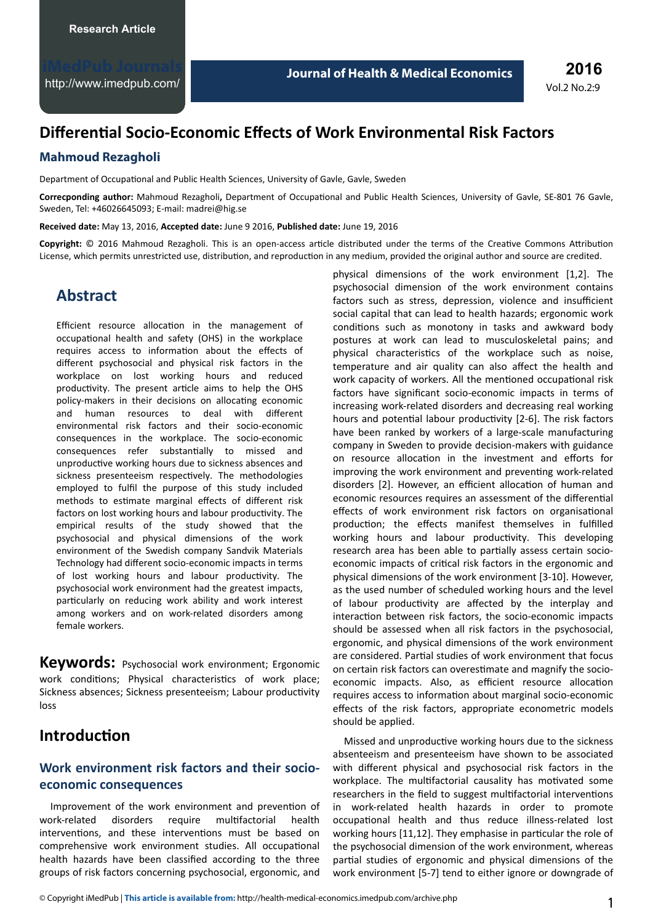# **Differential Socio-Economic Effects of Work Environmental Risk Factors**

### **Mahmoud Rezagholi**

Department of Occupational and Public Health Sciences, University of Gavle, Gavle, Sweden

Correcponding author: Mahmoud Rezagholi, Department of Occupational and Public Health Sciences, University of Gavle, SE-801 76 Gavle, Sweden, Tel: +46026645093; E-mail: [madrei@hig.se](mailto:madrei@hig.se)

**Received date:** May 13, 2016, **Accepted date:** June 9 2016, **Published date:** June 19, 2016

Copyright: © 2016 Mahmoud Rezagholi. This is an open-access article distributed under the terms of the Creative Commons Attribution License, which permits unrestricted use, distribution, and reproduction in any medium, provided the original author and source are credited.

## **Abstract**

Efficient resource allocation in the management of occupational health and safety (OHS) in the workplace requires access to information about the effects of different psychosocial and physical risk factors in the workplace on lost working hours and reduced productivity. The present article aims to help the OHS policy-makers in their decisions on allocating economic and human resources to deal with different environmental risk factors and their socio-economic consequences in the workplace. The socio-economic consequences refer substantially to missed and unproductive working hours due to sickness absences and sickness presenteeism respectively. The methodologies employed to fulfil the purpose of this study included methods to estimate marginal effects of different risk factors on lost working hours and labour productivity. The empirical results of the study showed that the psychosocial and physical dimensions of the work environment of the Swedish company Sandvik Materials Technology had different socio-economic impacts in terms of lost working hours and labour productivity. The psychosocial work environment had the greatest impacts, particularly on reducing work ability and work interest among workers and on work-related disorders among female workers.

**Keywords:** Psychosocial work environment; Ergonomic work conditions; Physical characteristics of work place; Sickness absences; Sickness presenteeism; Labour productivity loss

## **Introduction**

## **Work environment risk factors and their socioeconomic consequences**

Improvement of the work environment and prevention of work-related disorders require multifactorial health interventions, and these interventions must be based on comprehensive work environment studies. All occupational health hazards have been classified according to the three groups of risk factors concerning psychosocial, ergonomic, and

physical dimensions of the work environment [1,2]. The psychosocial dimension of the work environment contains factors such as stress, depression, violence and insufficient social capital that can lead to health hazards; ergonomic work conditions such as monotony in tasks and awkward body postures at work can lead to musculoskeletal pains; and physical characteristics of the workplace such as noise, temperature and air quality can also affect the health and work capacity of workers. All the mentioned occupational risk factors have significant socio-economic impacts in terms of increasing work-related disorders and decreasing real working hours and potential labour productivity [2-6]. The risk factors have been ranked by workers of a large-scale manufacturing company in Sweden to provide decision-makers with guidance on resource allocation in the investment and efforts for improving the work environment and preventing work-related disorders [2]. However, an efficient allocation of human and economic resources requires an assessment of the differential effects of work environment risk factors on organisational production; the effects manifest themselves in fulfilled working hours and labour productivity. This developing research area has been able to partially assess certain socioeconomic impacts of critical risk factors in the ergonomic and physical dimensions of the work environment [3-10]. However, as the used number of scheduled working hours and the level of labour productivity are affected by the interplay and interaction between risk factors, the socio-economic impacts should be assessed when all risk factors in the psychosocial, ergonomic, and physical dimensions of the work environment are considered. Partial studies of work environment that focus on certain risk factors can overestimate and magnify the socioeconomic impacts. Also, as efficient resource allocation requires access to information about marginal socio-economic effects of the risk factors, appropriate econometric models should be applied.

Missed and unproductive working hours due to the sickness absenteeism and presenteeism have shown to be associated with different physical and psychosocial risk factors in the workplace. The multifactorial causality has motivated some researchers in the field to suggest multifactorial interventions in work-related health hazards in order to promote occupational health and thus reduce illness-related lost working hours [11,12]. They emphasise in particular the role of the psychosocial dimension of the work environment, whereas partial studies of ergonomic and physical dimensions of the work environment [5-7] tend to either ignore or downgrade of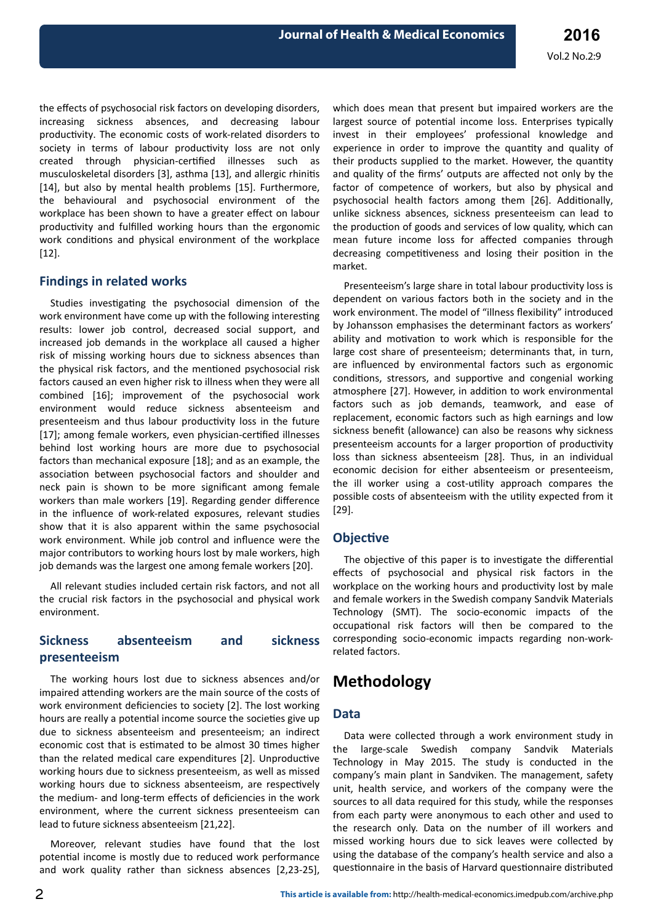the effects of psychosocial risk factors on developing disorders, increasing sickness absences, and decreasing labour productivity. The economic costs of work-related disorders to society in terms of labour productivity loss are not only created through physician-certified illnesses such as musculoskeletal disorders [3], asthma [13], and allergic rhinitis [14], but also by mental health problems [15]. Furthermore, the behavioural and psychosocial environment of the workplace has been shown to have a greater effect on labour productivity and fulfilled working hours than the ergonomic work conditions and physical environment of the workplace [12].

### **Findings in related works**

Studies investigating the psychosocial dimension of the work environment have come up with the following interesting results: lower job control, decreased social support, and increased job demands in the workplace all caused a higher risk of missing working hours due to sickness absences than the physical risk factors, and the mentioned psychosocial risk factors caused an even higher risk to illness when they were all combined [16]; improvement of the psychosocial work environment would reduce sickness absenteeism and presenteeism and thus labour productivity loss in the future [17]; among female workers, even physician-certified illnesses behind lost working hours are more due to psychosocial factors than mechanical exposure [18]; and as an example, the association between psychosocial factors and shoulder and neck pain is shown to be more significant among female workers than male workers [19]. Regarding gender difference in the influence of work-related exposures, relevant studies show that it is also apparent within the same psychosocial work environment. While job control and influence were the major contributors to working hours lost by male workers, high job demands was the largest one among female workers [20].

All relevant studies included certain risk factors, and not all the crucial risk factors in the psychosocial and physical work environment.

### **Sickness absenteeism and sickness presenteeism**

The working hours lost due to sickness absences and/or impaired attending workers are the main source of the costs of work environment deficiencies to society [2]. The lost working hours are really a potential income source the societies give up due to sickness absenteeism and presenteeism; an indirect economic cost that is estimated to be almost 30 times higher than the related medical care expenditures [2]. Unproductive working hours due to sickness presenteeism, as well as missed working hours due to sickness absenteeism, are respectively the medium- and long-term effects of deficiencies in the work environment, where the current sickness presenteeism can lead to future sickness absenteeism [21,22].

Moreover, relevant studies have found that the lost potential income is mostly due to reduced work performance and work quality rather than sickness absences [2,23-25],

which does mean that present but impaired workers are the largest source of potential income loss. Enterprises typically invest in their employees' professional knowledge and experience in order to improve the quantity and quality of their products supplied to the market. However, the quantity and quality of the firms' outputs are affected not only by the factor of competence of workers, but also by physical and psychosocial health factors among them [26]. Additionally, unlike sickness absences, sickness presenteeism can lead to the production of goods and services of low quality, which can mean future income loss for affected companies through decreasing competitiveness and losing their position in the market.

Presenteeism's large share in total labour productivity loss is dependent on various factors both in the society and in the work environment. The model of "illness flexibility" introduced by Johansson emphasises the determinant factors as workers' ability and motivation to work which is responsible for the large cost share of presenteeism; determinants that, in turn, are influenced by environmental factors such as ergonomic conditions, stressors, and supportive and congenial working atmosphere [27]. However, in addition to work environmental factors such as job demands, teamwork, and ease of replacement, economic factors such as high earnings and low sickness benefit (allowance) can also be reasons why sickness presenteeism accounts for a larger proportion of productivity loss than sickness absenteeism [28]. Thus, in an individual economic decision for either absenteeism or presenteeism, the ill worker using a cost-utility approach compares the possible costs of absenteeism with the utility expected from it [29].

#### **Objective**

The objective of this paper is to investigate the differential effects of psychosocial and physical risk factors in the workplace on the working hours and productivity lost by male and female workers in the Swedish company Sandvik Materials Technology (SMT). The socio-economic impacts of the occupational risk factors will then be compared to the corresponding socio-economic impacts regarding non-workrelated factors.

## **Methodology**

#### **Data**

Data were collected through a work environment study in the large-scale Swedish company Sandvik Materials Technology in May 2015. The study is conducted in the company's main plant in Sandviken. The management, safety unit, health service, and workers of the company were the sources to all data required for this study, while the responses from each party were anonymous to each other and used to the research only. Data on the number of ill workers and missed working hours due to sick leaves were collected by using the database of the company's health service and also a questionnaire in the basis of Harvard questionnaire distributed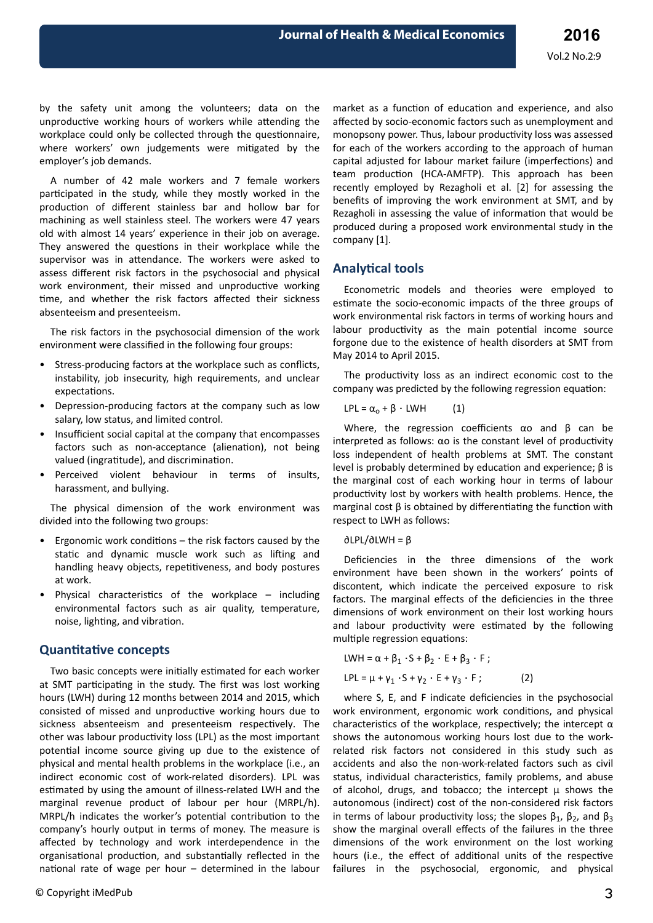by the safety unit among the volunteers; data on the unproductive working hours of workers while attending the workplace could only be collected through the questionnaire, where workers' own judgements were mitigated by the employer's job demands.

A number of 42 male workers and 7 female workers participated in the study, while they mostly worked in the production of different stainless bar and hollow bar for machining as well stainless steel. The workers were 47 years old with almost 14 years' experience in their job on average. They answered the questions in their workplace while the supervisor was in attendance. The workers were asked to assess different risk factors in the psychosocial and physical work environment, their missed and unproductive working time, and whether the risk factors affected their sickness absenteeism and presenteeism.

The risk factors in the psychosocial dimension of the work environment were classified in the following four groups:

- Stress-producing factors at the workplace such as conflicts, instability, job insecurity, high requirements, and unclear expectations.
- Depression-producing factors at the company such as low salary, low status, and limited control.
- Insufficient social capital at the company that encompasses factors such as non-acceptance (alienation), not being valued (ingratitude), and discrimination.
- Perceived violent behaviour in terms of insults, harassment, and bullying.

The physical dimension of the work environment was divided into the following two groups:

- Ergonomic work conditions the risk factors caused by the static and dynamic muscle work such as lifting and handling heavy objects, repetitiveness, and body postures at work.
- Physical characteristics of the workplace including environmental factors such as air quality, temperature, noise, lighting, and vibration.

#### **Quantitative concepts**

Two basic concepts were initially estimated for each worker at SMT participating in the study. The first was lost working hours (LWH) during 12 months between 2014 and 2015, which consisted of missed and unproductive working hours due to sickness absenteeism and presenteeism respectively. The other was labour productivity loss (LPL) as the most important potential income source giving up due to the existence of physical and mental health problems in the workplace (i.e., an indirect economic cost of work-related disorders). LPL was estimated by using the amount of illness-related LWH and the marginal revenue product of labour per hour (MRPL/h). MRPL/h indicates the worker's potential contribution to the company's hourly output in terms of money. The measure is affected by technology and work interdependence in the organisational production, and substantially reflected in the national rate of wage per hour  $-$  determined in the labour market as a function of education and experience, and also affected by socio-economic factors such as unemployment and monopsony power. Thus, labour productivity loss was assessed for each of the workers according to the approach of human capital adjusted for labour market failure (imperfections) and team production (HCA-AMFTP). This approach has been recently employed by Rezagholi et al. [2] for assessing the benefits of improving the work environment at SMT, and by Rezagholi in assessing the value of information that would be produced during a proposed work environmental study in the company [1].

#### **Analytical tools**

Econometric models and theories were employed to estimate the socio-economic impacts of the three groups of work environmental risk factors in terms of working hours and labour productivity as the main potential income source forgone due to the existence of health disorders at SMT from May 2014 to April 2015.

The productivity loss as an indirect economic cost to the company was predicted by the following regression equation:

$$
LPL = \alpha_0 + \beta \cdot LWH \qquad (1)
$$

Where, the regression coefficients  $\alpha$ o and  $\beta$  can be interpreted as follows:  $\alpha$ o is the constant level of productivity loss independent of health problems at SMT. The constant level is probably determined by education and experience;  $β$  is the marginal cost of each working hour in terms of labour productivity lost by workers with health problems. Hence, the marginal cost  $\beta$  is obtained by differentiating the function with respect to LWH as follows:

∂LPL/∂LWH = β

Deficiencies in the three dimensions of the work environment have been shown in the workers' points of discontent, which indicate the perceived exposure to risk factors. The marginal effects of the deficiencies in the three dimensions of work environment on their lost working hours and labour productivity were estimated by the following multiple regression equations:

$$
LWH = \alpha + \beta_1 \cdot S + \beta_2 \cdot E + \beta_3 \cdot F ;
$$
  
\n
$$
LPL = \mu + \gamma_1 \cdot S + \gamma_2 \cdot E + \gamma_3 \cdot F ;
$$
 (2)

where S, E, and F indicate deficiencies in the psychosocial work environment, ergonomic work conditions, and physical characteristics of the workplace, respectively; the intercept  $\alpha$ shows the autonomous working hours lost due to the workrelated risk factors not considered in this study such as accidents and also the non-work-related factors such as civil status, individual characteristics, family problems, and abuse of alcohol, drugs, and tobacco; the intercept  $\mu$  shows the autonomous (indirect) cost of the non-considered risk factors in terms of labour productivity loss; the slopes  $\beta_1$ ,  $\beta_2$ , and  $\beta_3$ show the marginal overall effects of the failures in the three dimensions of the work environment on the lost working hours (i.e., the effect of additional units of the respective failures in the psychosocial, ergonomic, and physical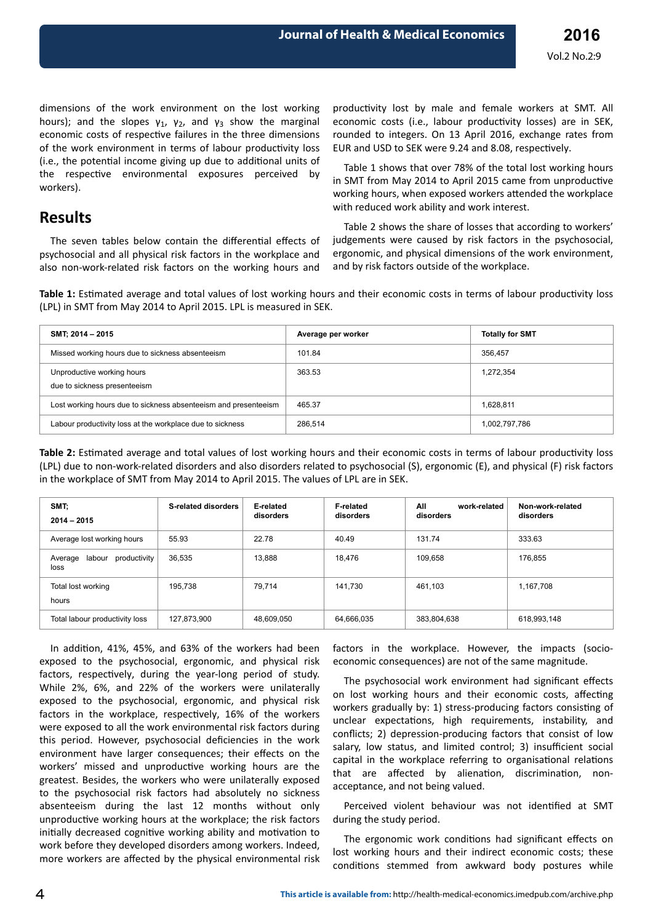dimensions of the work environment on the lost working hours); and the slopes  $\gamma_1$ ,  $\gamma_2$ , and  $\gamma_3$  show the marginal economic costs of respective failures in the three dimensions of the work environment in terms of labour productivity loss (i.e., the potential income giving up due to additional units of the respective environmental exposures perceived by workers).

The seven tables below contain the differential effects of psychosocial and all physical risk factors in the workplace and also non-work-related risk factors on the working hours and

**Results**

productivity lost by male and female workers at SMT. All economic costs (i.e., labour productivity losses) are in SEK, rounded to integers. On 13 April 2016, exchange rates from EUR and USD to SEK were 9.24 and 8.08, respectively.

Table 1 shows that over 78% of the total lost working hours in SMT from May 2014 to April 2015 came from unproductive working hours, when exposed workers attended the workplace with reduced work ability and work interest.

Table 2 shows the share of losses that according to workers' judgements were caused by risk factors in the psychosocial, ergonomic, and physical dimensions of the work environment, and by risk factors outside of the workplace.

Table 1: Estimated average and total values of lost working hours and their economic costs in terms of labour productivity loss (LPL) in SMT from May 2014 to April 2015. LPL is measured in SEK.

| SMT; 2014 - 2015                                                | Average per worker | <b>Totally for SMT</b> |
|-----------------------------------------------------------------|--------------------|------------------------|
| Missed working hours due to sickness absenteeism                | 101.84             | 356.457                |
| Unproductive working hours<br>due to sickness presenteeism      | 363.53             | 1,272,354              |
| Lost working hours due to sickness absenteeism and presenteeism | 465.37             | 1,628,811              |
| Labour productivity loss at the workplace due to sickness       | 286.514            | 1,002,797,786          |

**Table 2:** Estimated average and total values of lost working hours and their economic costs in terms of labour productivity loss (LPL) due to non-work-related disorders and also disorders related to psychosocial (S), ergonomic (E), and physical (F) risk factors in the workplace of SMT from May 2014 to April 2015. The values of LPL are in SEK.

| SMT;<br>$2014 - 2015$                  | <b>S-related disorders</b> | E-related<br>disorders | <b>F-related</b><br>disorders | All<br>work-related<br>disorders | Non-work-related<br>disorders |
|----------------------------------------|----------------------------|------------------------|-------------------------------|----------------------------------|-------------------------------|
| Average lost working hours             | 55.93                      | 22.78                  | 40.49                         | 131.74                           | 333.63                        |
| labour productivity<br>Average<br>loss | 36,535                     | 13,888                 | 18,476                        | 109,658                          | 176,855                       |
| Total lost working<br>hours            | 195,738                    | 79.714                 | 141.730                       | 461,103                          | 1,167,708                     |
| Total labour productivity loss         | 127,873,900                | 48,609,050             | 64,666,035                    | 383,804,638                      | 618,993,148                   |

In addition, 41%, 45%, and 63% of the workers had been exposed to the psychosocial, ergonomic, and physical risk factors, respectively, during the year-long period of study. While 2%, 6%, and 22% of the workers were unilaterally exposed to the psychosocial, ergonomic, and physical risk factors in the workplace, respectively, 16% of the workers were exposed to all the work environmental risk factors during this period. However, psychosocial deficiencies in the work environment have larger consequences; their effects on the workers' missed and unproductive working hours are the greatest. Besides, the workers who were unilaterally exposed to the psychosocial risk factors had absolutely no sickness absenteeism during the last 12 months without only unproductive working hours at the workplace; the risk factors initially decreased cognitive working ability and motivation to work before they developed disorders among workers. Indeed, more workers are affected by the physical environmental risk

factors in the workplace. However, the impacts (socioeconomic consequences) are not of the same magnitude.

The psychosocial work environment had significant effects on lost working hours and their economic costs, affecting workers gradually by: 1) stress-producing factors consisting of unclear expectations, high requirements, instability, and conflicts; 2) depression-producing factors that consist of low salary, low status, and limited control; 3) insufficient social capital in the workplace referring to organisational relations that are affected by alienation, discrimination, nonacceptance, and not being valued.

Perceived violent behaviour was not identified at SMT during the study period.

The ergonomic work conditions had significant effects on lost working hours and their indirect economic costs; these conditions stemmed from awkward body postures while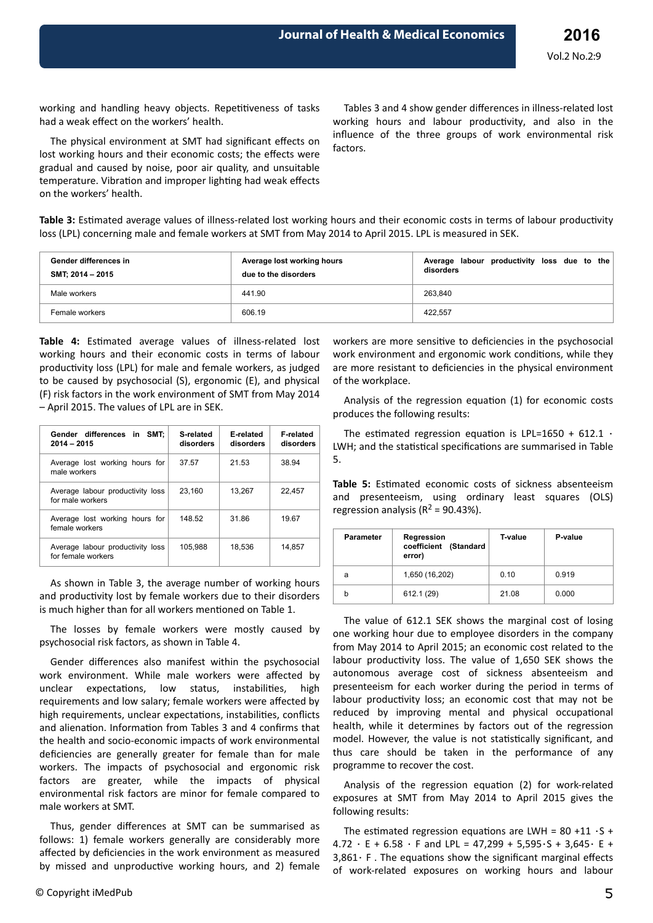working and handling heavy objects. Repetitiveness of tasks had a weak effect on the workers' health.

The physical environment at SMT had significant effects on lost working hours and their economic costs; the effects were gradual and caused by noise, poor air quality, and unsuitable temperature. Vibration and improper lighting had weak effects on the workers' health.

Tables 3 and 4 show gender differences in illness-related lost working hours and labour productivity, and also in the influence of the three groups of work environmental risk factors.

Table 3: Estimated average values of illness-related lost working hours and their economic costs in terms of labour productivity loss (LPL) concerning male and female workers at SMT from May 2014 to April 2015. LPL is measured in SEK.

| Gender differences in<br>SMT: 2014 - 2015 | Average lost working hours<br>due to the disorders | Average labour productivity loss due to the<br>disorders |
|-------------------------------------------|----------------------------------------------------|----------------------------------------------------------|
| Male workers                              | 441.90                                             | 263.840                                                  |
| Female workers                            | 606.19                                             | 422.557                                                  |

Table 4: Estimated average values of illness-related lost working hours and their economic costs in terms of labour productivity loss (LPL) for male and female workers, as judged to be caused by psychosocial (S), ergonomic (E), and physical (F) risk factors in the work environment of SMT from May 2014 – April 2015. The values of LPL are in SEK.

| Gender differences in SMT:<br>$2014 - 2015$            | S-related<br>disorders | E-related<br>disorders | <b>F-related</b><br>disorders |
|--------------------------------------------------------|------------------------|------------------------|-------------------------------|
| Average lost working hours for<br>male workers         | 37.57                  | 21.53                  | 38.94                         |
| Average labour productivity loss<br>for male workers   | 23.160                 | 13.267                 | 22.457                        |
| Average lost working hours for<br>female workers       | 148.52                 | 31.86                  | 19.67                         |
| Average labour productivity loss<br>for female workers | 105.988                | 18,536                 | 14,857                        |

As shown in Table 3, the average number of working hours and productivity lost by female workers due to their disorders is much higher than for all workers mentioned on Table 1.

The losses by female workers were mostly caused by psychosocial risk factors, as shown in Table 4.

Gender differences also manifest within the psychosocial work environment. While male workers were affected by unclear expectations, low status, instabilities, high requirements and low salary; female workers were affected by high requirements, unclear expectations, instabilities, conflicts and alienation. Information from Tables 3 and 4 confirms that the health and socio-economic impacts of work environmental deficiencies are generally greater for female than for male workers. The impacts of psychosocial and ergonomic risk factors are greater, while the impacts of physical environmental risk factors are minor for female compared to male workers at SMT.

Thus, gender differences at SMT can be summarised as follows: 1) female workers generally are considerably more affected by deficiencies in the work environment as measured by missed and unproductive working hours, and 2) female workers are more sensitive to deficiencies in the psychosocial work environment and ergonomic work conditions, while they are more resistant to deficiencies in the physical environment of the workplace.

Analysis of the regression equation (1) for economic costs produces the following results:

The estimated regression equation is LPL=1650 + 612.1  $\cdot$ LWH; and the statistical specifications are summarised in Table 5.

**Table 5:** Estimated economic costs of sickness absenteeism and presenteeism, using ordinary least squares (OLS) regression analysis ( $R^2$  = 90.43%).

| <b>Parameter</b> | Regression<br>coefficient (Standard<br>error) | T-value | P-value |
|------------------|-----------------------------------------------|---------|---------|
| a                | 1,650 (16,202)                                | 0.10    | 0.919   |
| h                | 612.1 (29)                                    | 21.08   | 0.000   |

The value of 612.1 SEK shows the marginal cost of losing one working hour due to employee disorders in the company from May 2014 to April 2015; an economic cost related to the labour productivity loss. The value of 1,650 SEK shows the autonomous average cost of sickness absenteeism and presenteeism for each worker during the period in terms of labour productivity loss; an economic cost that may not be reduced by improving mental and physical occupational health, while it determines by factors out of the regression model. However, the value is not statistically significant, and thus care should be taken in the performance of any programme to recover the cost.

Analysis of the regression equation (2) for work-related exposures at SMT from May 2014 to April 2015 gives the following results:

The estimated regression equations are LWH = 80 +11  $\cdot$ S + 4.72 ⋅ E + 6.58 ⋅ F and LPL = 47,299 + 5,595⋅S + 3,645⋅ E + 3,861⋅ F. The equations show the significant marginal effects of work-related exposures on working hours and labour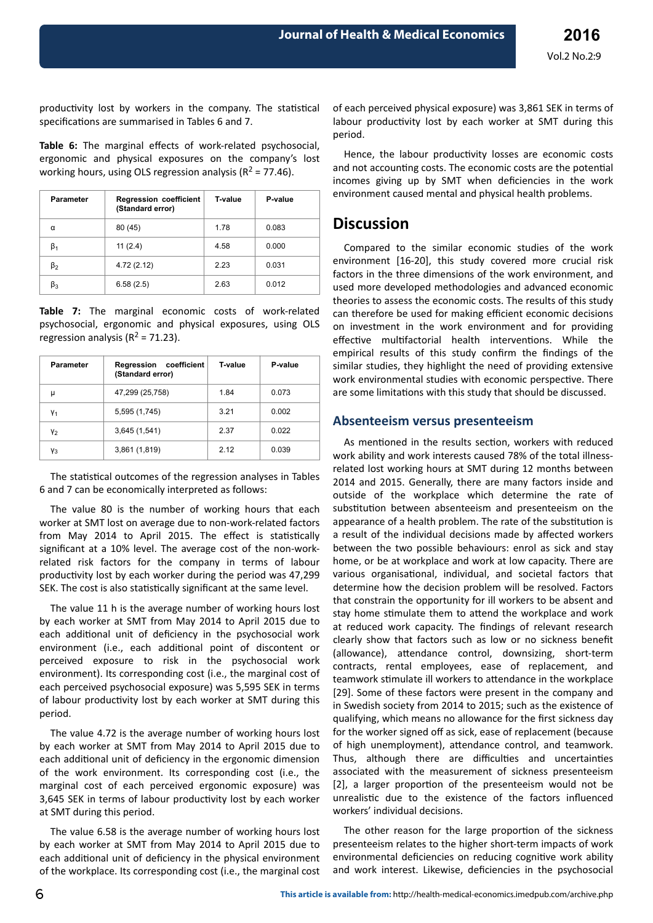productivity lost by workers in the company. The statistical specifications are summarised in Tables 6 and 7.

Table 6: The marginal effects of work-related psychosocial, ergonomic and physical exposures on the company's lost working hours, using OLS regression analysis ( $R^2$  = 77.46).

| <b>Parameter</b> | <b>Regression coefficient</b><br>(Standard error) | T-value | P-value |
|------------------|---------------------------------------------------|---------|---------|
| α                | 80 (45)                                           | 1.78    | 0.083   |
| β <sub>1</sub>   | 11(2.4)                                           | 4.58    | 0.000   |
| $\beta_2$        | 4.72 (2.12)                                       | 2.23    | 0.031   |
| β3               | 6.58(2.5)                                         | 2.63    | 0.012   |

**Table 7:** The marginal economic costs of work-related psychosocial, ergonomic and physical exposures, using OLS regression analysis ( $R^2$  = 71.23).

| Parameter | coefficient<br>Regression<br>(Standard error) | T-value | P-value |
|-----------|-----------------------------------------------|---------|---------|
| μ         | 47,299 (25,758)                               | 1.84    | 0.073   |
| Y1        | 5,595 (1,745)                                 | 3.21    | 0.002   |
| Y2        | 3,645(1,541)                                  | 2.37    | 0.022   |
| Yз        | 3,861 (1,819)                                 | 2.12    | 0.039   |

The statistical outcomes of the regression analyses in Tables 6 and 7 can be economically interpreted as follows:

The value 80 is the number of working hours that each worker at SMT lost on average due to non-work-related factors from May 2014 to April 2015. The effect is statistically significant at a 10% level. The average cost of the non-workrelated risk factors for the company in terms of labour productivity lost by each worker during the period was 47,299 SEK. The cost is also statistically significant at the same level.

The value 11 h is the average number of working hours lost by each worker at SMT from May 2014 to April 2015 due to each additional unit of deficiency in the psychosocial work environment (i.e., each additional point of discontent or perceived exposure to risk in the psychosocial work environment). Its corresponding cost (i.e., the marginal cost of each perceived psychosocial exposure) was 5,595 SEK in terms of labour productivity lost by each worker at SMT during this period.

The value 4.72 is the average number of working hours lost by each worker at SMT from May 2014 to April 2015 due to each additional unit of deficiency in the ergonomic dimension of the work environment. Its corresponding cost (i.e., the marginal cost of each perceived ergonomic exposure) was 3.645 SEK in terms of labour productivity lost by each worker at SMT during this period.

The value 6.58 is the average number of working hours lost by each worker at SMT from May 2014 to April 2015 due to each additional unit of deficiency in the physical environment of the workplace. Its corresponding cost (i.e., the marginal cost of each perceived physical exposure) was 3,861 SEK in terms of labour productivity lost by each worker at SMT during this period.

Hence, the labour productivity losses are economic costs and not accounting costs. The economic costs are the potential incomes giving up by SMT when deficiencies in the work environment caused mental and physical health problems.

## **Discussion**

Compared to the similar economic studies of the work environment [16-20], this study covered more crucial risk factors in the three dimensions of the work environment, and used more developed methodologies and advanced economic theories to assess the economic costs. The results of this study can therefore be used for making efficient economic decisions on investment in the work environment and for providing effective multifactorial health interventions. While the empirical results of this study confirm the findings of the similar studies, they highlight the need of providing extensive work environmental studies with economic perspective. There are some limitations with this study that should be discussed.

#### **Absenteeism versus presenteeism**

As mentioned in the results section, workers with reduced work ability and work interests caused 78% of the total illnessrelated lost working hours at SMT during 12 months between 2014 and 2015. Generally, there are many factors inside and outside of the workplace which determine the rate of substitution between absenteeism and presenteeism on the appearance of a health problem. The rate of the substitution is a result of the individual decisions made by affected workers between the two possible behaviours: enrol as sick and stay home, or be at workplace and work at low capacity. There are various organisational, individual, and societal factors that determine how the decision problem will be resolved. Factors that constrain the opportunity for ill workers to be absent and stay home stimulate them to attend the workplace and work at reduced work capacity. The findings of relevant research clearly show that factors such as low or no sickness benefit (allowance), attendance control, downsizing, short-term contracts, rental employees, ease of replacement, and teamwork stimulate ill workers to attendance in the workplace [29]. Some of these factors were present in the company and in Swedish society from 2014 to 2015; such as the existence of qualifying, which means no allowance for the first sickness day for the worker signed off as sick, ease of replacement (because of high unemployment), attendance control, and teamwork. Thus, although there are difficulties and uncertainties associated with the measurement of sickness presenteeism [2], a larger proportion of the presenteeism would not be unrealistic due to the existence of the factors influenced workers' individual decisions.

The other reason for the large proportion of the sickness presenteeism relates to the higher short-term impacts of work environmental deficiencies on reducing cognitive work ability and work interest. Likewise, deficiencies in the psychosocial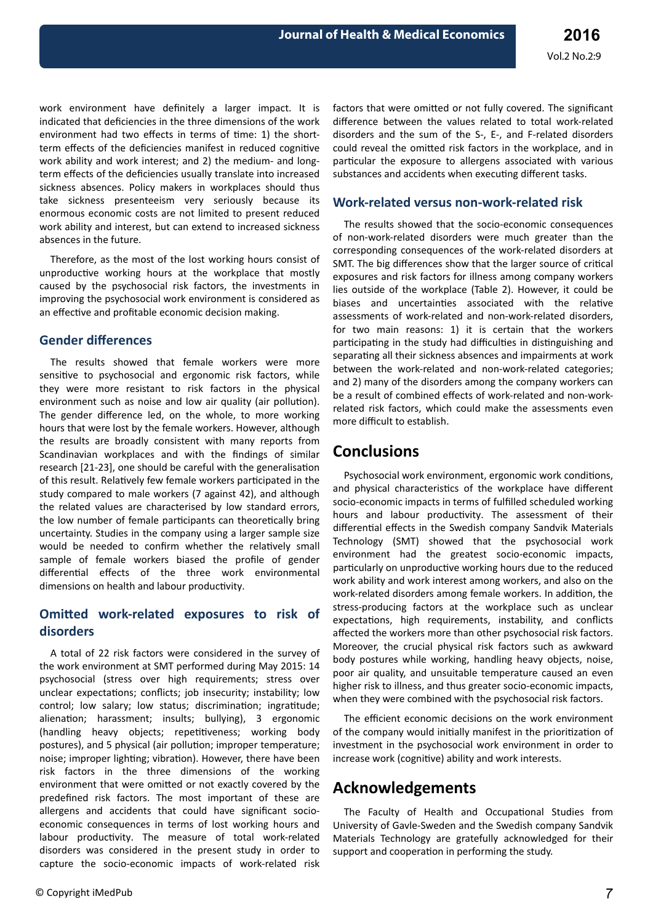work environment have definitely a larger impact. It is indicated that deficiencies in the three dimensions of the work environment had two effects in terms of time: 1) the shortterm effects of the deficiencies manifest in reduced cognitive work ability and work interest; and 2) the medium- and longterm effects of the deficiencies usually translate into increased sickness absences. Policy makers in workplaces should thus take sickness presenteeism very seriously because its enormous economic costs are not limited to present reduced work ability and interest, but can extend to increased sickness absences in the future.

Therefore, as the most of the lost working hours consist of unproductive working hours at the workplace that mostly caused by the psychosocial risk factors, the investments in improving the psychosocial work environment is considered as an effective and profitable economic decision making.

#### **Gender differences**

The results showed that female workers were more sensitive to psychosocial and ergonomic risk factors, while they were more resistant to risk factors in the physical environment such as noise and low air quality (air pollution). The gender difference led, on the whole, to more working hours that were lost by the female workers. However, although the results are broadly consistent with many reports from Scandinavian workplaces and with the findings of similar research [21-23], one should be careful with the generalisation of this result. Relatively few female workers participated in the study compared to male workers (7 against 42), and although the related values are characterised by low standard errors, the low number of female participants can theoretically bring uncertainty. Studies in the company using a larger sample size would be needed to confirm whether the relatively small sample of female workers biased the profile of gender differential effects of the three work environmental dimensions on health and labour productivity.

### **Comitted work-related exposures to risk of disorders**

A total of 22 risk factors were considered in the survey of the work environment at SMT performed during May 2015: 14 psychosocial (stress over high requirements; stress over unclear expectations; conflicts; job insecurity; instability; low control; low salary; low status; discrimination; ingratitude; alienation; harassment; insults; bullying), 3 ergonomic (handling heavy objects; repetitiveness; working body postures), and 5 physical (air pollution; improper temperature; noise; improper lighting; vibration). However, there have been risk factors in the three dimensions of the working environment that were omitted or not exactly covered by the predefined risk factors. The most important of these are allergens and accidents that could have significant socioeconomic consequences in terms of lost working hours and labour productivity. The measure of total work-related disorders was considered in the present study in order to capture the socio-economic impacts of work-related risk

factors that were omitted or not fully covered. The significant difference between the values related to total work-related disorders and the sum of the S-, E-, and F-related disorders could reveal the omitted risk factors in the workplace, and in particular the exposure to allergens associated with various substances and accidents when executing different tasks.

### **Work-related versus non-work-related risk**

The results showed that the socio-economic consequences of non-work-related disorders were much greater than the corresponding consequences of the work-related disorders at SMT. The big differences show that the larger source of critical exposures and risk factors for illness among company workers lies outside of the workplace (Table 2). However, it could be biases and uncertainties associated with the relative assessments of work-related and non-work-related disorders, for two main reasons: 1) it is certain that the workers participating in the study had difficulties in distinguishing and separating all their sickness absences and impairments at work between the work-related and non-work-related categories; and 2) many of the disorders among the company workers can be a result of combined effects of work-related and non-workrelated risk factors, which could make the assessments even more difficult to establish.

## **Conclusions**

Psychosocial work environment, ergonomic work conditions, and physical characteristics of the workplace have different socio-economic impacts in terms of fulfilled scheduled working hours and labour productivity. The assessment of their differential effects in the Swedish company Sandvik Materials Technology (SMT) showed that the psychosocial work environment had the greatest socio-economic impacts, particularly on unproductive working hours due to the reduced work ability and work interest among workers, and also on the work-related disorders among female workers. In addition, the stress-producing factors at the workplace such as unclear expectations, high requirements, instability, and conflicts affected the workers more than other psychosocial risk factors. Moreover, the crucial physical risk factors such as awkward body postures while working, handling heavy objects, noise, poor air quality, and unsuitable temperature caused an even higher risk to illness, and thus greater socio-economic impacts, when they were combined with the psychosocial risk factors.

The efficient economic decisions on the work environment of the company would initially manifest in the prioritization of investment in the psychosocial work environment in order to increase work (cognitive) ability and work interests.

## **Acknowledgements**

The Faculty of Health and Occupational Studies from University of Gavle-Sweden and the Swedish company Sandvik Materials Technology are gratefully acknowledged for their support and cooperation in performing the study.